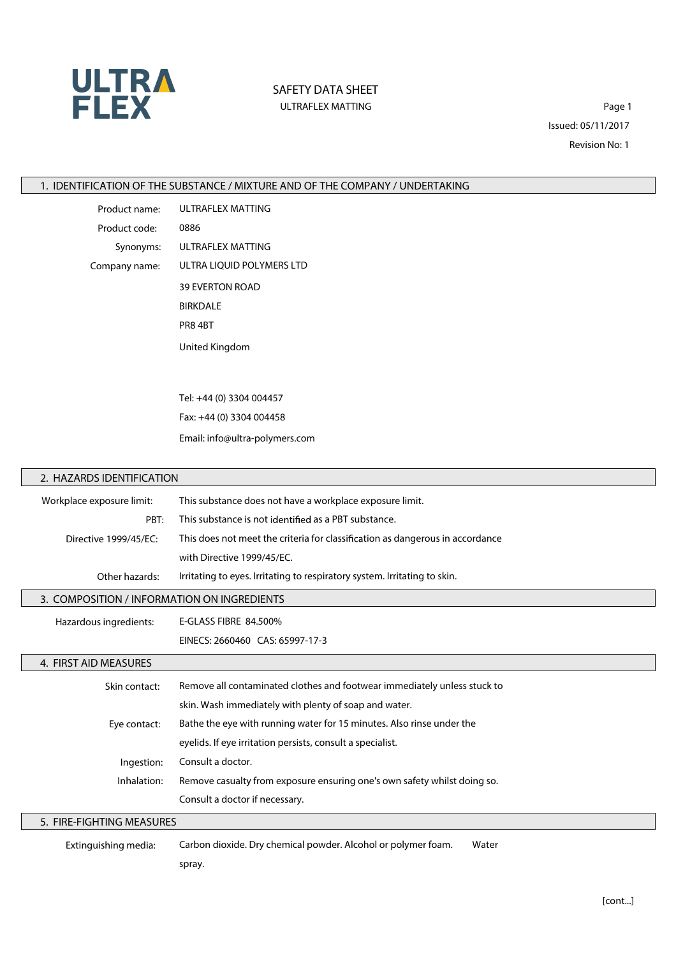

## **SAFETY DATA SHEET** ULTRAFLEX MATTING **Page 1**

Issued: 05/11/2017 Revision No: 1

**1. IDENTIFICATION OF THE SUBSTANCE / MIXTURE AND OF THE COMPANY / UNDERTAKING**

**Product name:** ULTRAFLEX MATTING **Product code:** 0886 **Synonyms:** ULTRAFLEX MATTING **Company name:** ULTRA LIQUID POLYMERS LTD 39 EVERTON ROAD BIRKDALE PR8 4BT United Kingdom

> Tel: +44 (0) 3304 004457 Fax: +44 (0) 3304 004458 Email: info@ultra-polymers.com

#### **2. HAZARDS IDENTIFICATION**

 $\mathbf{L}$ 

| Workplace exposure limit:                   | This substance does not have a workplace exposure limit.                      |  |
|---------------------------------------------|-------------------------------------------------------------------------------|--|
| PBT:                                        | This substance is not identified as a PBT substance.                          |  |
| Directive 1999/45/EC:                       | This does not meet the criteria for classification as dangerous in accordance |  |
|                                             | with Directive 1999/45/EC.                                                    |  |
| Other hazards:                              | Irritating to eyes. Irritating to respiratory system. Irritating to skin.     |  |
| 3. COMPOSITION / INFORMATION ON INGREDIENTS |                                                                               |  |
| Hazardous ingredients:                      | E-GLASS FIBRE 84.500%                                                         |  |
|                                             | EINECS: 2660460 CAS: 65997-17-3                                               |  |
| 4. FIRST AID MEASURES                       |                                                                               |  |
| Skin contact:                               | Remove all contaminated clothes and footwear immediately unless stuck to      |  |
|                                             | skin. Wash immediately with plenty of soap and water.                         |  |
| Eye contact:                                | Bathe the eye with running water for 15 minutes. Also rinse under the         |  |
|                                             | eyelids. If eye irritation persists, consult a specialist.                    |  |
| Ingestion:                                  | Consult a doctor.                                                             |  |
| Inhalation:                                 | Remove casualty from exposure ensuring one's own safety whilst doing so.      |  |
|                                             | Consult a doctor if necessary.                                                |  |

**5. FIRE-FIGHTING MEASURES**

**Extinguishing media:** Carbon dioxide. Dry chemical powder. Alcohol or polymer foam. Water

spray.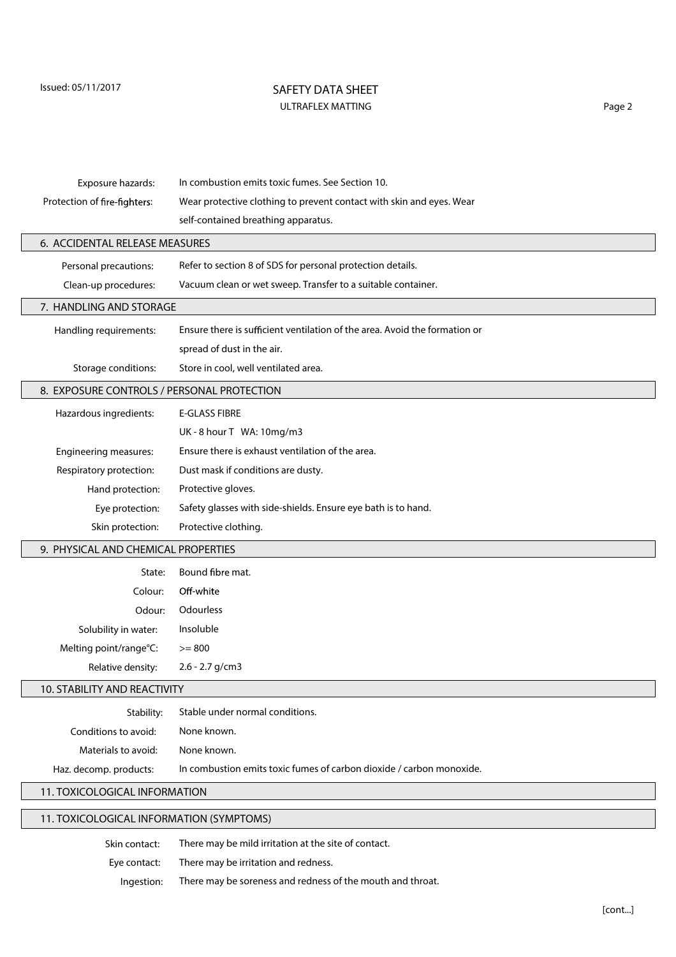# **SAFETY DATA SHEET** ULTRAFLEX MATTING **Page 2**

| Exposure hazards:                          | In combustion emits toxic fumes. See Section 10.                           |  |
|--------------------------------------------|----------------------------------------------------------------------------|--|
| Protection of fire-fighters:               | Wear protective clothing to prevent contact with skin and eyes. Wear       |  |
|                                            | self-contained breathing apparatus.                                        |  |
|                                            |                                                                            |  |
| 6. ACCIDENTAL RELEASE MEASURES             |                                                                            |  |
| Personal precautions:                      | Refer to section 8 of SDS for personal protection details.                 |  |
| Clean-up procedures:                       | Vacuum clean or wet sweep. Transfer to a suitable container.               |  |
| 7. HANDLING AND STORAGE                    |                                                                            |  |
| Handling requirements:                     | Ensure there is sufficient ventilation of the area. Avoid the formation or |  |
|                                            | spread of dust in the air.                                                 |  |
| Storage conditions:                        | Store in cool, well ventilated area.                                       |  |
| 8. EXPOSURE CONTROLS / PERSONAL PROTECTION |                                                                            |  |
| Hazardous ingredients:                     | <b>E-GLASS FIBRE</b>                                                       |  |
|                                            | UK-8 hour T WA: 10mg/m3                                                    |  |
| Engineering measures:                      | Ensure there is exhaust ventilation of the area.                           |  |
| Respiratory protection:                    | Dust mask if conditions are dusty.                                         |  |
| Hand protection:                           | Protective gloves.                                                         |  |
| Eye protection:                            | Safety glasses with side-shields. Ensure eye bath is to hand.              |  |
| Skin protection:                           | Protective clothing.                                                       |  |
| 9. PHYSICAL AND CHEMICAL PROPERTIES        |                                                                            |  |
| State:                                     | Bound fibre mat.                                                           |  |
| Colour:                                    | Off-white                                                                  |  |
| Odour:                                     | Odourless                                                                  |  |
| Solubility in water:                       | Insoluble                                                                  |  |
| Melting point/range°C:                     | $>= 800$                                                                   |  |
| Relative density:                          | $2.6 - 2.7$ g/cm3                                                          |  |
| 10. STABILITY AND REACTIVITY               |                                                                            |  |
| Stability:                                 | Stable under normal conditions.                                            |  |
| Conditions to avoid:                       | None known.                                                                |  |
| Materials to avoid:                        | None known.                                                                |  |
| Haz. decomp. products:                     | In combustion emits toxic fumes of carbon dioxide / carbon monoxide.       |  |
| 11. TOXICOLOGICAL INFORMATION              |                                                                            |  |

# **11. TOXICOLOGICAL INFORMATION (SYMPTOMS)**

| Skin contact: | There may be mild irritation at the site of contact.       |
|---------------|------------------------------------------------------------|
| Eve contact:  | There may be irritation and redness.                       |
| Ingestion:    | There may be soreness and redness of the mouth and throat. |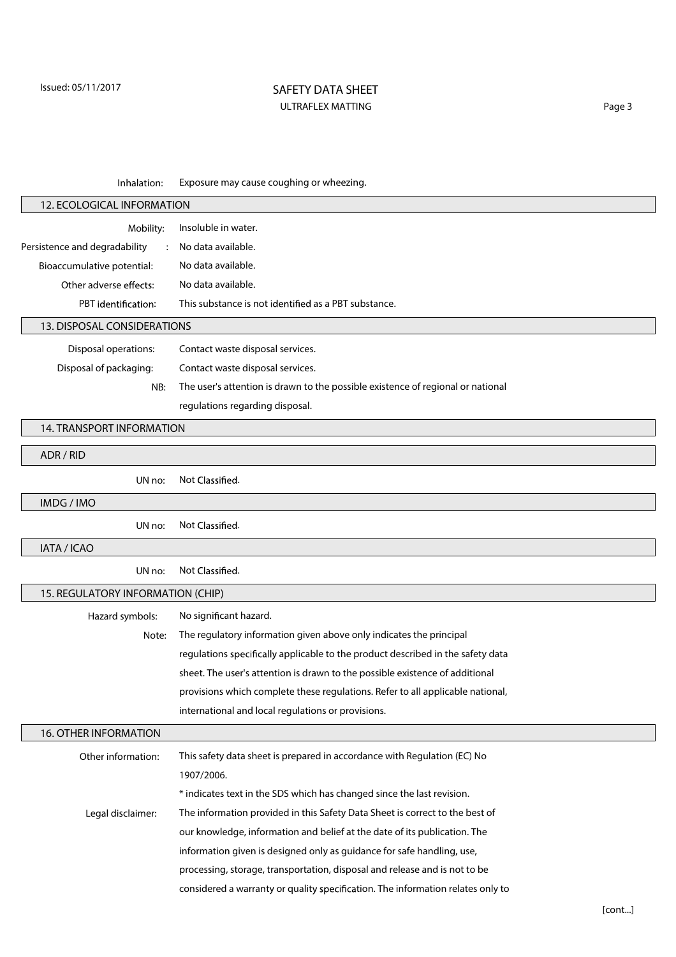## **SAFETY DATA SHEET** ULTRAFLEX MATTING **Page 3**

**Inhalation:** Exposure may cause coughing or wheezing.

| 12. ECOLOGICAL INFORMATION        |                                                                                 |  |  |  |
|-----------------------------------|---------------------------------------------------------------------------------|--|--|--|
| Mobility:                         | Insoluble in water.                                                             |  |  |  |
| Persistence and degradability     | No data available.                                                              |  |  |  |
| Bioaccumulative potential:        | No data available.                                                              |  |  |  |
| Other adverse effects:            | No data available.                                                              |  |  |  |
| PBT identification:               | This substance is not identified as a PBT substance.                            |  |  |  |
| 13. DISPOSAL CONSIDERATIONS       |                                                                                 |  |  |  |
| Disposal operations:              | Contact waste disposal services.                                                |  |  |  |
| Disposal of packaging:            | Contact waste disposal services.                                                |  |  |  |
| NB:                               | The user's attention is drawn to the possible existence of regional or national |  |  |  |
|                                   | regulations regarding disposal.                                                 |  |  |  |
| 14. TRANSPORT INFORMATION         |                                                                                 |  |  |  |
|                                   |                                                                                 |  |  |  |
| ADR / RID                         |                                                                                 |  |  |  |
| UN no:                            | Not Classified.                                                                 |  |  |  |
| IMDG / IMO                        |                                                                                 |  |  |  |
| UN no:                            | Not Classified.                                                                 |  |  |  |
| IATA / ICAO                       |                                                                                 |  |  |  |
| UN no:                            | Not Classified.                                                                 |  |  |  |
| 15. REGULATORY INFORMATION (CHIP) |                                                                                 |  |  |  |
| Hazard symbols:                   | No significant hazard.                                                          |  |  |  |
| Note:                             | The regulatory information given above only indicates the principal             |  |  |  |
|                                   | regulations specifically applicable to the product described in the safety data |  |  |  |
|                                   | sheet. The user's attention is drawn to the possible existence of additional    |  |  |  |
|                                   | provisions which complete these regulations. Refer to all applicable national,  |  |  |  |
|                                   | international and local regulations or provisions.                              |  |  |  |
| 16. OTHER INFORMATION             |                                                                                 |  |  |  |
| Other information:                | This safety data sheet is prepared in accordance with Regulation (EC) No        |  |  |  |
|                                   | 1907/2006.                                                                      |  |  |  |
|                                   | * indicates text in the SDS which has changed since the last revision.          |  |  |  |
| Legal disclaimer:                 | The information provided in this Safety Data Sheet is correct to the best of    |  |  |  |
|                                   | our knowledge, information and belief at the date of its publication. The       |  |  |  |
|                                   | information given is designed only as guidance for safe handling, use,          |  |  |  |
|                                   | processing, storage, transportation, disposal and release and is not to be      |  |  |  |
|                                   | considered a warranty or quality specification. The information relates only to |  |  |  |
|                                   |                                                                                 |  |  |  |